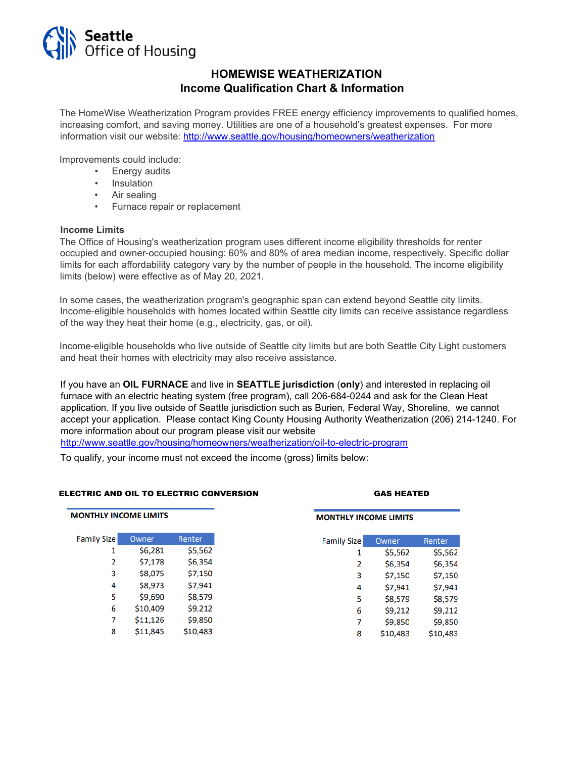

### **HOMEWISE WEATHERIZATION Income Qualification Chart & Information**

The HomeWise Weatherization Program provides FREE energy efficiency improvements to qualified homes, increasing comfort, and saving money. Utilities are one of a household's greatest expenses. For more information visit our website:<http://www.seattle.gov/housing/homeowners/weatherization>

Improvements could include:

- Energy audits
- Insulation
- Air sealing
- Furnace repair or replacement

#### **Income Limits**

The Office of Housing's weatherization program uses different income eligibility thresholds for renter occupied and owner-occupied housing: 60% and 80% of area median income, respectively. Specific dollar limits for each affordability category vary by the number of people in the household. The income eligibility limits (below) were effective as of May 20, 2021.

In some cases, the weatherization program's geographic span can extend beyond Seattle city limits. Income-eligible households with homes located within Seattle city limits can receive assistance regardless of the way they heat their home (e.g., electricity, gas, or oil).

Income-eligible households who live outside of Seattle city limits but are both Seattle City Light customers and heat their homes with electricity may also receive assistance.

If you have an **OIL FURNACE** and live in **SEATTLE jurisdiction** (**only**) and interested in replacing oil furnace with an electric heating system (free program), call 206-684-0244 and ask for the Clean Heat application. If you live outside of Seattle jurisdiction such as Burien, Federal Way, Shoreline, we cannot accept your application. Please contact King County Housing Authority Weatherization (206) 214-1240. For more information about our program please visit our website

[http://www.seattle.gov/housing/homeowners/weatherization/oil-to-electric-program](http://www.seattle.gov/housing/homeowners/weatherization/oil-to-electric-program-)

To qualify, your income must not exceed the income (gross) limits below:

#### ELECTRIC AND OIL TO ELECTRIC CONVERSION GAS HEATED

| <b>MONTHLY INCOME LIMITS</b> |          |          |
|------------------------------|----------|----------|
| <b>Family Size</b>           | Owner    | Renter   |
| 1                            | \$6,281  | \$5,562  |
| 2                            | \$7,178  | \$6,354  |
| 3                            | \$8,075  | \$7,150  |
| 4                            | \$8,973  | \$7,941  |
| 5                            | \$9,690  | \$8,579  |
| 6                            | \$10,409 | \$9,212  |
| 7                            | \$11,126 | \$9,850  |
| 8                            | \$11,845 | \$10,483 |
|                              |          |          |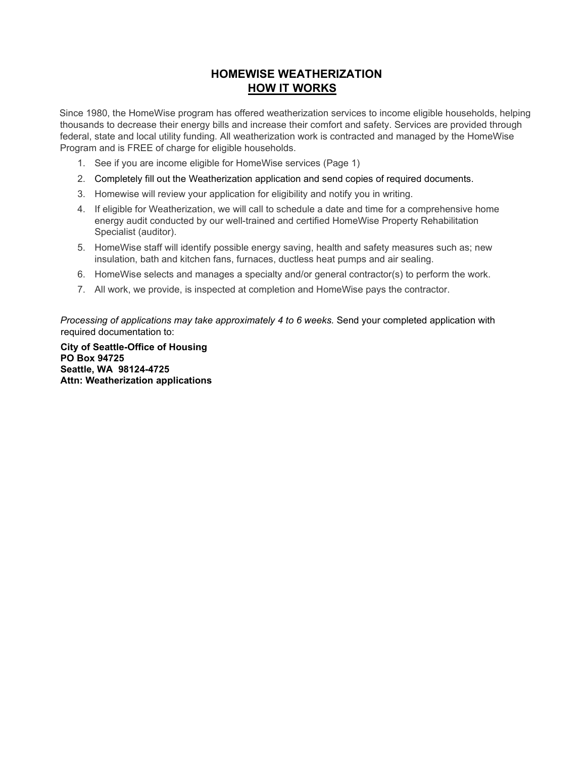## **HOMEWISE WEATHERIZATION HOW IT WORKS**

Since 1980, the HomeWise program has offered weatherization services to income eligible households, helping thousands to decrease their energy bills and increase their comfort and safety. Services are provided through federal, state and local utility funding. All weatherization work is contracted and managed by the HomeWise Program and is FREE of charge for eligible households.

- 1. See if you are income eligible for HomeWise services (Page 1)
- 2. Completely fill out the Weatherization application and send copies of required documents.
- 3. Homewise will review your application for eligibility and notify you in writing.
- 4. If eligible for Weatherization, we will call to schedule a date and time for a comprehensive home energy audit conducted by our well-trained and certified HomeWise Property Rehabilitation Specialist (auditor).
- 5. HomeWise staff will identify possible energy saving, health and safety measures such as; new insulation, bath and kitchen fans, furnaces, ductless heat pumps and air sealing.
- 6. HomeWise selects and manages a specialty and/or general contractor(s) to perform the work.
- 7. All work, we provide, is inspected at completion and HomeWise pays the contractor.

*Processing of applications may take approximately 4 to 6 weeks.* Send your completed application with required documentation to:

**City of Seattle-Office of Housing PO Box 94725 Seattle, WA 98124-4725 Attn: Weatherization applications**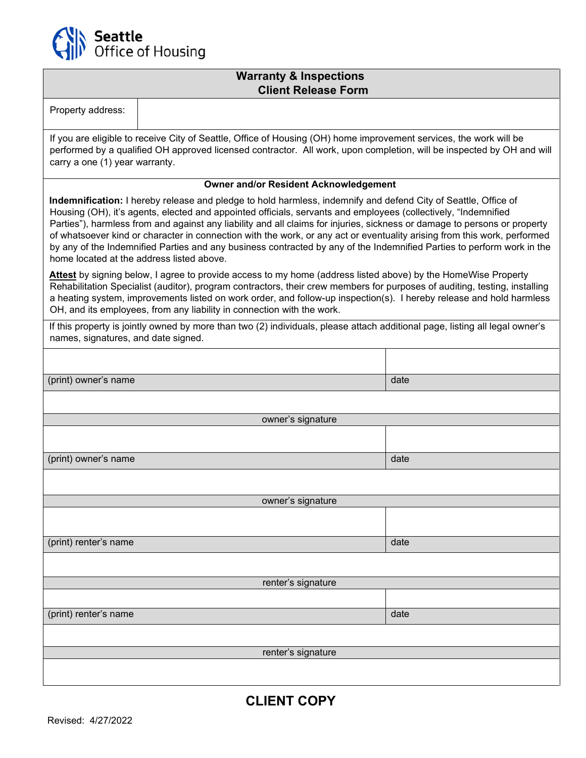

### **Warranty & Inspections Client Release Form**

| Property address:                                                                                                                                                                                                                                                                                                                                                                                                                                                                                                                                                                                                                                                |                                              |      |  |  |  |  |  |
|------------------------------------------------------------------------------------------------------------------------------------------------------------------------------------------------------------------------------------------------------------------------------------------------------------------------------------------------------------------------------------------------------------------------------------------------------------------------------------------------------------------------------------------------------------------------------------------------------------------------------------------------------------------|----------------------------------------------|------|--|--|--|--|--|
| If you are eligible to receive City of Seattle, Office of Housing (OH) home improvement services, the work will be<br>performed by a qualified OH approved licensed contractor. All work, upon completion, will be inspected by OH and will<br>carry a one (1) year warranty.                                                                                                                                                                                                                                                                                                                                                                                    |                                              |      |  |  |  |  |  |
|                                                                                                                                                                                                                                                                                                                                                                                                                                                                                                                                                                                                                                                                  | <b>Owner and/or Resident Acknowledgement</b> |      |  |  |  |  |  |
| Indemnification: I hereby release and pledge to hold harmless, indemnify and defend City of Seattle, Office of<br>Housing (OH), it's agents, elected and appointed officials, servants and employees (collectively, "Indemnified<br>Parties"), harmless from and against any liability and all claims for injuries, sickness or damage to persons or property<br>of whatsoever kind or character in connection with the work, or any act or eventuality arising from this work, performed<br>by any of the Indemnified Parties and any business contracted by any of the Indemnified Parties to perform work in the<br>home located at the address listed above. |                                              |      |  |  |  |  |  |
| Attest by signing below, I agree to provide access to my home (address listed above) by the HomeWise Property<br>Rehabilitation Specialist (auditor), program contractors, their crew members for purposes of auditing, testing, installing<br>a heating system, improvements listed on work order, and follow-up inspection(s). I hereby release and hold harmless<br>OH, and its employees, from any liability in connection with the work.                                                                                                                                                                                                                    |                                              |      |  |  |  |  |  |
| If this property is jointly owned by more than two (2) individuals, please attach additional page, listing all legal owner's<br>names, signatures, and date signed.                                                                                                                                                                                                                                                                                                                                                                                                                                                                                              |                                              |      |  |  |  |  |  |
|                                                                                                                                                                                                                                                                                                                                                                                                                                                                                                                                                                                                                                                                  |                                              |      |  |  |  |  |  |
| (print) owner's name                                                                                                                                                                                                                                                                                                                                                                                                                                                                                                                                                                                                                                             |                                              | date |  |  |  |  |  |
|                                                                                                                                                                                                                                                                                                                                                                                                                                                                                                                                                                                                                                                                  |                                              |      |  |  |  |  |  |
|                                                                                                                                                                                                                                                                                                                                                                                                                                                                                                                                                                                                                                                                  | owner's signature                            |      |  |  |  |  |  |
|                                                                                                                                                                                                                                                                                                                                                                                                                                                                                                                                                                                                                                                                  |                                              |      |  |  |  |  |  |
|                                                                                                                                                                                                                                                                                                                                                                                                                                                                                                                                                                                                                                                                  |                                              |      |  |  |  |  |  |
| (print) owner's name                                                                                                                                                                                                                                                                                                                                                                                                                                                                                                                                                                                                                                             |                                              | date |  |  |  |  |  |
|                                                                                                                                                                                                                                                                                                                                                                                                                                                                                                                                                                                                                                                                  |                                              |      |  |  |  |  |  |
|                                                                                                                                                                                                                                                                                                                                                                                                                                                                                                                                                                                                                                                                  | owner's signature                            |      |  |  |  |  |  |
|                                                                                                                                                                                                                                                                                                                                                                                                                                                                                                                                                                                                                                                                  |                                              |      |  |  |  |  |  |
| (print) renter's name                                                                                                                                                                                                                                                                                                                                                                                                                                                                                                                                                                                                                                            |                                              | date |  |  |  |  |  |
|                                                                                                                                                                                                                                                                                                                                                                                                                                                                                                                                                                                                                                                                  |                                              |      |  |  |  |  |  |
|                                                                                                                                                                                                                                                                                                                                                                                                                                                                                                                                                                                                                                                                  | renter's signature                           |      |  |  |  |  |  |
|                                                                                                                                                                                                                                                                                                                                                                                                                                                                                                                                                                                                                                                                  |                                              |      |  |  |  |  |  |
| (print) renter's name                                                                                                                                                                                                                                                                                                                                                                                                                                                                                                                                                                                                                                            |                                              | date |  |  |  |  |  |
|                                                                                                                                                                                                                                                                                                                                                                                                                                                                                                                                                                                                                                                                  |                                              |      |  |  |  |  |  |
|                                                                                                                                                                                                                                                                                                                                                                                                                                                                                                                                                                                                                                                                  | renter's signature                           |      |  |  |  |  |  |
|                                                                                                                                                                                                                                                                                                                                                                                                                                                                                                                                                                                                                                                                  |                                              |      |  |  |  |  |  |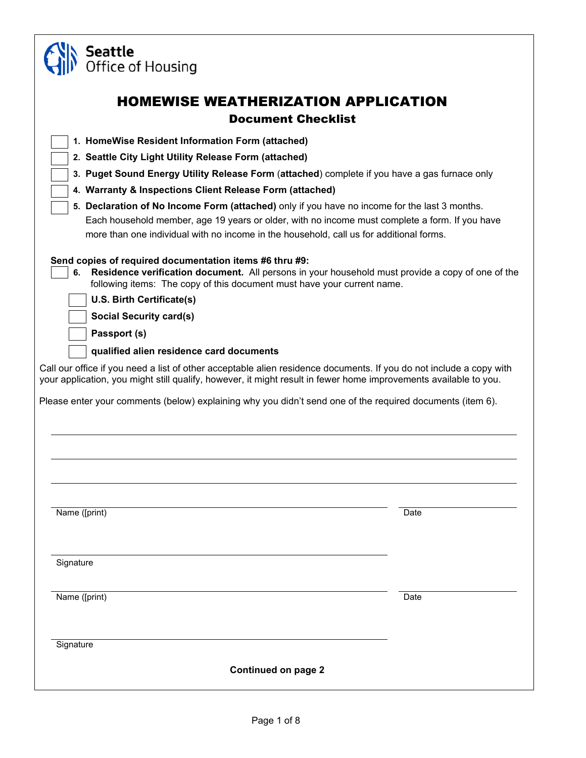| Seattle<br>Office of Housing                                                                                                                                                                                                                                                                                                                                                                                                                                                                                                                                                                                                                                                                                                    |      |
|---------------------------------------------------------------------------------------------------------------------------------------------------------------------------------------------------------------------------------------------------------------------------------------------------------------------------------------------------------------------------------------------------------------------------------------------------------------------------------------------------------------------------------------------------------------------------------------------------------------------------------------------------------------------------------------------------------------------------------|------|
| <b>HOMEWISE WEATHERIZATION APPLICATION</b><br><b>Document Checklist</b>                                                                                                                                                                                                                                                                                                                                                                                                                                                                                                                                                                                                                                                         |      |
| 1. HomeWise Resident Information Form (attached)<br>2. Seattle City Light Utility Release Form (attached)<br>3. Puget Sound Energy Utility Release Form (attached) complete if you have a gas furnace only<br>4. Warranty & Inspections Client Release Form (attached)<br>5. Declaration of No Income Form (attached) only if you have no income for the last 3 months.<br>Each household member, age 19 years or older, with no income must complete a form. If you have<br>more than one individual with no income in the household, call us for additional forms.                                                                                                                                                            |      |
| Send copies of required documentation items #6 thru #9:<br>Residence verification document. All persons in your household must provide a copy of one of the<br>6.<br>following items: The copy of this document must have your current name.<br>U.S. Birth Certificate(s)<br><b>Social Security card(s)</b><br>Passport (s)<br>qualified alien residence card documents<br>Call our office if you need a list of other acceptable alien residence documents. If you do not include a copy with<br>your application, you might still qualify, however, it might result in fewer home improvements available to you.<br>Please enter your comments (below) explaining why you didn't send one of the required documents (item 6). |      |
| Name ([print)                                                                                                                                                                                                                                                                                                                                                                                                                                                                                                                                                                                                                                                                                                                   | Date |
| Signature                                                                                                                                                                                                                                                                                                                                                                                                                                                                                                                                                                                                                                                                                                                       |      |
| Name ([print)                                                                                                                                                                                                                                                                                                                                                                                                                                                                                                                                                                                                                                                                                                                   | Date |
| Signature<br><b>Continued on page 2</b>                                                                                                                                                                                                                                                                                                                                                                                                                                                                                                                                                                                                                                                                                         |      |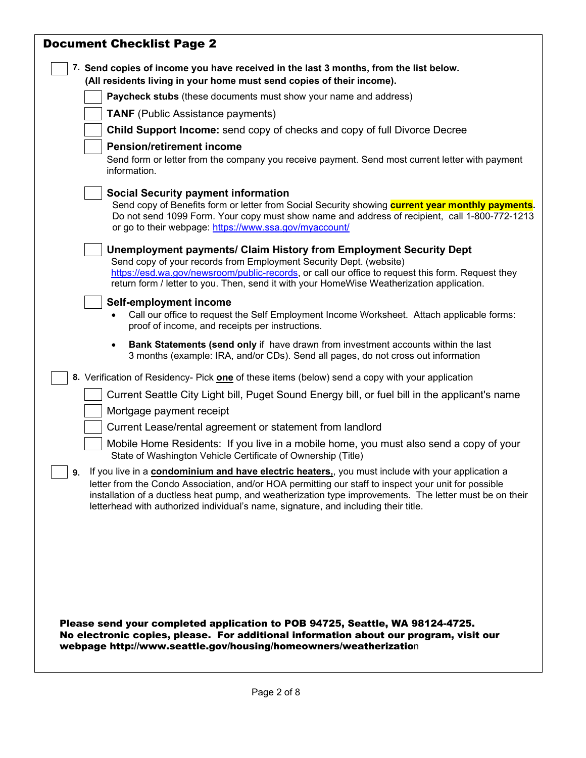| <b>Document Checklist Page 2</b>                                                                                                                                                                                                                                                                                                                                                                                 |
|------------------------------------------------------------------------------------------------------------------------------------------------------------------------------------------------------------------------------------------------------------------------------------------------------------------------------------------------------------------------------------------------------------------|
| 7. Send copies of income you have received in the last 3 months, from the list below.<br>(All residents living in your home must send copies of their income).                                                                                                                                                                                                                                                   |
| Paycheck stubs (these documents must show your name and address)                                                                                                                                                                                                                                                                                                                                                 |
| <b>TANF</b> (Public Assistance payments)                                                                                                                                                                                                                                                                                                                                                                         |
| <b>Child Support Income:</b> send copy of checks and copy of full Divorce Decree                                                                                                                                                                                                                                                                                                                                 |
| <b>Pension/retirement income</b>                                                                                                                                                                                                                                                                                                                                                                                 |
| Send form or letter from the company you receive payment. Send most current letter with payment<br>information.                                                                                                                                                                                                                                                                                                  |
| <b>Social Security payment information</b><br>Send copy of Benefits form or letter from Social Security showing <b>current year monthly payments</b> .<br>Do not send 1099 Form. Your copy must show name and address of recipient, call 1-800-772-1213<br>or go to their webpage: https://www.ssa.gov/myaccount/                                                                                                |
| Unemployment payments/ Claim History from Employment Security Dept<br>Send copy of your records from Employment Security Dept. (website)<br>https://esd.wa.gov/newsroom/public-records, or call our office to request this form. Request they<br>return form / letter to you. Then, send it with your HomeWise Weatherization application.                                                                       |
| Self-employment income<br>Call our office to request the Self Employment Income Worksheet. Attach applicable forms:<br>proof of income, and receipts per instructions.                                                                                                                                                                                                                                           |
| <b>Bank Statements (send only</b> if have drawn from investment accounts within the last<br>$\bullet$<br>3 months (example: IRA, and/or CDs). Send all pages, do not cross out information                                                                                                                                                                                                                       |
| 8. Verification of Residency- Pick one of these items (below) send a copy with your application                                                                                                                                                                                                                                                                                                                  |
| Current Seattle City Light bill, Puget Sound Energy bill, or fuel bill in the applicant's name                                                                                                                                                                                                                                                                                                                   |
| Mortgage payment receipt                                                                                                                                                                                                                                                                                                                                                                                         |
| Current Lease/rental agreement or statement from landlord                                                                                                                                                                                                                                                                                                                                                        |
| Mobile Home Residents: If you live in a mobile home, you must also send a copy of your<br>State of Washington Vehicle Certificate of Ownership (Title)                                                                                                                                                                                                                                                           |
| If you live in a condominium and have electric heaters, you must include with your application a<br>9.<br>letter from the Condo Association, and/or HOA permitting our staff to inspect your unit for possible<br>installation of a ductless heat pump, and weatherization type improvements. The letter must be on their<br>letterhead with authorized individual's name, signature, and including their title. |
| Please send your completed application to POB 94725, Seattle, WA 98124-4725.                                                                                                                                                                                                                                                                                                                                     |
| No electronic copies, please. For additional information about our program, visit our<br>webpage http://www.seattle.gov/housing/homeowners/weatherization                                                                                                                                                                                                                                                        |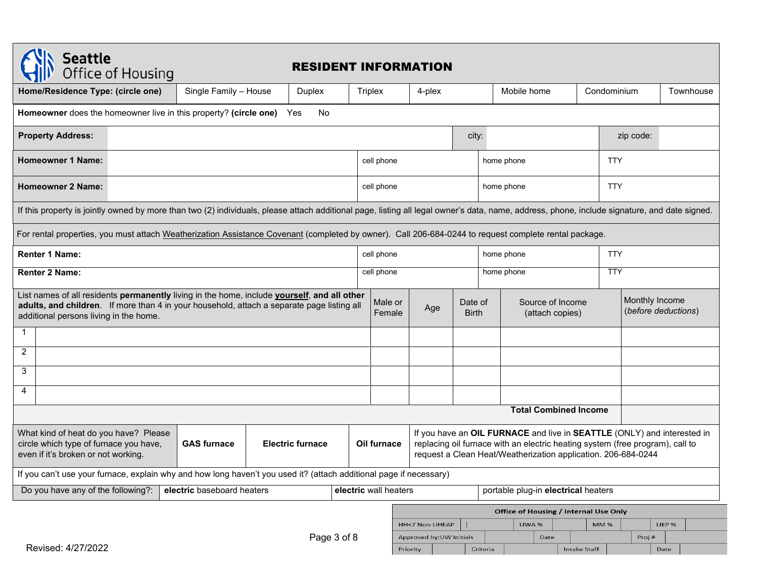| <b>Seattle</b><br>Office of Housing                                                                                                                                                                                                 |                                                                            | <b>RESIDENT INFORMATION</b> |                                                                       |                       |                                                                                                                                                                                                                                          |       |                                       |                                       |              |             |           |        |           |
|-------------------------------------------------------------------------------------------------------------------------------------------------------------------------------------------------------------------------------------|----------------------------------------------------------------------------|-----------------------------|-----------------------------------------------------------------------|-----------------------|------------------------------------------------------------------------------------------------------------------------------------------------------------------------------------------------------------------------------------------|-------|---------------------------------------|---------------------------------------|--------------|-------------|-----------|--------|-----------|
| Home/Residence Type: (circle one)                                                                                                                                                                                                   | Single Family - House                                                      | Duplex                      |                                                                       | Triplex               | 4-plex                                                                                                                                                                                                                                   |       |                                       | Mobile home                           |              | Condominium |           |        | Townhouse |
|                                                                                                                                                                                                                                     | Homeowner does the homeowner live in this property? (circle one) Yes<br>No |                             |                                                                       |                       |                                                                                                                                                                                                                                          |       |                                       |                                       |              |             |           |        |           |
| <b>Property Address:</b>                                                                                                                                                                                                            |                                                                            |                             |                                                                       |                       |                                                                                                                                                                                                                                          | city: |                                       |                                       |              |             | zip code: |        |           |
| <b>Homeowner 1 Name:</b>                                                                                                                                                                                                            |                                                                            |                             |                                                                       | cell phone            |                                                                                                                                                                                                                                          |       | home phone                            |                                       |              | <b>TTY</b>  |           |        |           |
| <b>Homeowner 2 Name:</b>                                                                                                                                                                                                            |                                                                            |                             |                                                                       | cell phone            |                                                                                                                                                                                                                                          |       | home phone                            |                                       |              | <b>TTY</b>  |           |        |           |
| If this property is jointly owned by more than two (2) individuals, please attach additional page, listing all legal owner's data, name, address, phone, include signature, and date signed.                                        |                                                                            |                             |                                                                       |                       |                                                                                                                                                                                                                                          |       |                                       |                                       |              |             |           |        |           |
| For rental properties, you must attach Weatherization Assistance Covenant (completed by owner). Call 206-684-0244 to request complete rental package.                                                                               |                                                                            |                             |                                                                       |                       |                                                                                                                                                                                                                                          |       |                                       |                                       |              |             |           |        |           |
| <b>Renter 1 Name:</b>                                                                                                                                                                                                               |                                                                            |                             |                                                                       | cell phone            | home phone                                                                                                                                                                                                                               |       |                                       |                                       |              | <b>TTY</b>  |           |        |           |
| <b>Renter 2 Name:</b>                                                                                                                                                                                                               |                                                                            |                             |                                                                       | cell phone            |                                                                                                                                                                                                                                          |       | home phone                            |                                       |              | <b>TTY</b>  |           |        |           |
| List names of all residents permanently living in the home, include yourself, and all other<br>adults, and children. If more than 4 in your household, attach a separate page listing all<br>additional persons living in the home. |                                                                            | Male or<br>Female           | Source of Income<br>Date of<br>Age<br><b>Birth</b><br>(attach copies) |                       |                                                                                                                                                                                                                                          |       | Monthly Income<br>(before deductions) |                                       |              |             |           |        |           |
| -1                                                                                                                                                                                                                                  |                                                                            |                             |                                                                       |                       |                                                                                                                                                                                                                                          |       |                                       |                                       |              |             |           |        |           |
| $\overline{2}$                                                                                                                                                                                                                      |                                                                            |                             |                                                                       |                       |                                                                                                                                                                                                                                          |       |                                       |                                       |              |             |           |        |           |
| 3                                                                                                                                                                                                                                   |                                                                            |                             |                                                                       |                       |                                                                                                                                                                                                                                          |       |                                       |                                       |              |             |           |        |           |
| 4                                                                                                                                                                                                                                   |                                                                            |                             |                                                                       |                       |                                                                                                                                                                                                                                          |       |                                       |                                       |              |             |           |        |           |
|                                                                                                                                                                                                                                     |                                                                            |                             |                                                                       |                       |                                                                                                                                                                                                                                          |       |                                       | <b>Total Combined Income</b>          |              |             |           |        |           |
| What kind of heat do you have? Please<br>circle which type of furnace you have,<br><b>GAS furnace</b><br><b>Electric furnace</b><br>even if it's broken or not working.                                                             |                                                                            |                             |                                                                       |                       | If you have an OIL FURNACE and live in SEATTLE (ONLY) and interested in<br>replacing oil furnace with an electric heating system (free program), call to<br>Oil furnace<br>request a Clean Heat/Weatherization application. 206-684-0244 |       |                                       |                                       |              |             |           |        |           |
| If you can't use your furnace, explain why and how long haven't you used it? (attach additional page if necessary)                                                                                                                  |                                                                            |                             |                                                                       |                       |                                                                                                                                                                                                                                          |       |                                       |                                       |              |             |           |        |           |
| Do you have any of the following?:                                                                                                                                                                                                  | electric baseboard heaters                                                 |                             |                                                                       | electric wall heaters |                                                                                                                                                                                                                                          |       |                                       | portable plug-in electrical heaters   |              |             |           |        |           |
|                                                                                                                                                                                                                                     |                                                                            |                             |                                                                       |                       |                                                                                                                                                                                                                                          |       |                                       | Office of Housing / Internal Use Only |              |             |           |        |           |
|                                                                                                                                                                                                                                     |                                                                            | Page 3 of 8                 |                                                                       |                       | HH<7 Non-LIHEAP<br>Approved by: UW Initials                                                                                                                                                                                              |       |                                       | LIWA %<br>Date                        |              | <b>MM%</b>  | Proj#     | LIEP % |           |
| Revised: 4/27/2022                                                                                                                                                                                                                  |                                                                            |                             |                                                                       |                       | Priority                                                                                                                                                                                                                                 |       | Criteria                              |                                       | Intake Staff |             |           | Date   |           |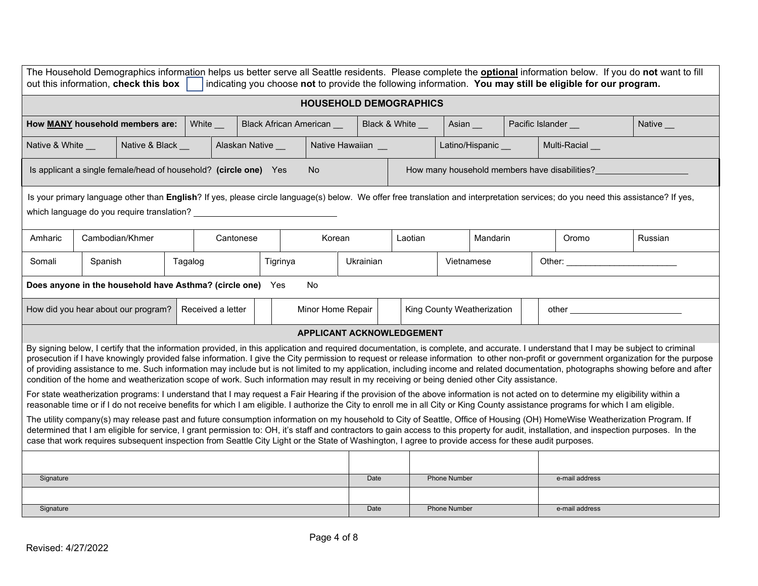| The Household Demographics information helps us better serve all Seattle residents. Please complete the <b>optional</b> information below. If you do not want to fill<br>out this information, check this box<br>indicating you choose not to provide the following information. You may still be eligible for our program.                                                                                                                                                                                                                                                                                                                                                                                         |                                                                                                                                                                                                                                                                                                                                                                        |                   |         |                   |                           |                   |                  |                  |                            |                   |  |  |                                                                                                                                                                                                                                |         |
|---------------------------------------------------------------------------------------------------------------------------------------------------------------------------------------------------------------------------------------------------------------------------------------------------------------------------------------------------------------------------------------------------------------------------------------------------------------------------------------------------------------------------------------------------------------------------------------------------------------------------------------------------------------------------------------------------------------------|------------------------------------------------------------------------------------------------------------------------------------------------------------------------------------------------------------------------------------------------------------------------------------------------------------------------------------------------------------------------|-------------------|---------|-------------------|---------------------------|-------------------|------------------|------------------|----------------------------|-------------------|--|--|--------------------------------------------------------------------------------------------------------------------------------------------------------------------------------------------------------------------------------|---------|
|                                                                                                                                                                                                                                                                                                                                                                                                                                                                                                                                                                                                                                                                                                                     | <b>HOUSEHOLD DEMOGRAPHICS</b>                                                                                                                                                                                                                                                                                                                                          |                   |         |                   |                           |                   |                  |                  |                            |                   |  |  |                                                                                                                                                                                                                                |         |
| How MANY household members are:                                                                                                                                                                                                                                                                                                                                                                                                                                                                                                                                                                                                                                                                                     |                                                                                                                                                                                                                                                                                                                                                                        |                   | White _ |                   | Black African American __ |                   |                  | Black & White __ | Asian __                   |                   |  |  | Pacific Islander _<br>Native __                                                                                                                                                                                                |         |
| Native & White __                                                                                                                                                                                                                                                                                                                                                                                                                                                                                                                                                                                                                                                                                                   |                                                                                                                                                                                                                                                                                                                                                                        | Native & Black __ |         | Alaskan Native    |                           |                   | Native Hawaiian  |                  |                            | Latino/Hispanic _ |  |  | Multi-Racial                                                                                                                                                                                                                   |         |
|                                                                                                                                                                                                                                                                                                                                                                                                                                                                                                                                                                                                                                                                                                                     | Is applicant a single female/head of household? (circle one) Yes                                                                                                                                                                                                                                                                                                       |                   |         |                   |                           | <b>No</b>         |                  |                  |                            |                   |  |  | How many household members have disabilities?                                                                                                                                                                                  |         |
| Is your primary language other than English? If yes, please circle language(s) below. We offer free translation and interpretation services; do you need this assistance? If yes,<br>which language do you require translation?                                                                                                                                                                                                                                                                                                                                                                                                                                                                                     |                                                                                                                                                                                                                                                                                                                                                                        |                   |         |                   |                           |                   |                  |                  |                            |                   |  |  |                                                                                                                                                                                                                                |         |
| Amharic                                                                                                                                                                                                                                                                                                                                                                                                                                                                                                                                                                                                                                                                                                             | Cambodian/Khmer                                                                                                                                                                                                                                                                                                                                                        |                   |         | Cantonese         |                           | Korean            |                  | Laotian          |                            | Mandarin          |  |  | Oromo                                                                                                                                                                                                                          | Russian |
| Somali                                                                                                                                                                                                                                                                                                                                                                                                                                                                                                                                                                                                                                                                                                              | Spanish                                                                                                                                                                                                                                                                                                                                                                |                   | Tagalog |                   | Tigrinya                  |                   | <b>Ukrainian</b> |                  | Vietnamese                 |                   |  |  | Other: the contract of the contract of the contract of the contract of the contract of the contract of the contract of the contract of the contract of the contract of the contract of the contract of the contract of the con |         |
|                                                                                                                                                                                                                                                                                                                                                                                                                                                                                                                                                                                                                                                                                                                     | Does anyone in the household have Asthma? (circle one) Yes<br>No                                                                                                                                                                                                                                                                                                       |                   |         |                   |                           |                   |                  |                  |                            |                   |  |  |                                                                                                                                                                                                                                |         |
| How did you hear about our program?                                                                                                                                                                                                                                                                                                                                                                                                                                                                                                                                                                                                                                                                                 |                                                                                                                                                                                                                                                                                                                                                                        |                   |         | Received a letter |                           | Minor Home Repair |                  |                  | King County Weatherization |                   |  |  |                                                                                                                                                                                                                                |         |
|                                                                                                                                                                                                                                                                                                                                                                                                                                                                                                                                                                                                                                                                                                                     | APPLICANT ACKNOWLEDGEMENT                                                                                                                                                                                                                                                                                                                                              |                   |         |                   |                           |                   |                  |                  |                            |                   |  |  |                                                                                                                                                                                                                                |         |
| By signing below, I certify that the information provided, in this application and required documentation, is complete, and accurate. I understand that I may be subject to criminal<br>prosecution if I have knowingly provided false information. I give the City permission to request or release information to other non-profit or government organization for the purpose<br>of providing assistance to me. Such information may include but is not limited to my application, including income and related documentation, photographs showing before and after<br>condition of the home and weatherization scope of work. Such information may result in my receiving or being denied other City assistance. |                                                                                                                                                                                                                                                                                                                                                                        |                   |         |                   |                           |                   |                  |                  |                            |                   |  |  |                                                                                                                                                                                                                                |         |
|                                                                                                                                                                                                                                                                                                                                                                                                                                                                                                                                                                                                                                                                                                                     | For state weatherization programs: I understand that I may request a Fair Hearing if the provision of the above information is not acted on to determine my eligibility within a<br>reasonable time or if I do not receive benefits for which I am eligible. I authorize the City to enroll me in all City or King County assistance programs for which I am eligible. |                   |         |                   |                           |                   |                  |                  |                            |                   |  |  |                                                                                                                                                                                                                                |         |
| The utility company(s) may release past and future consumption information on my household to City of Seattle, Office of Housing (OH) HomeWise Weatherization Program. If<br>determined that I am eligible for service, I grant permission to: OH, it's staff and contractors to gain access to this property for audit, installation, and inspection purposes. In the<br>case that work requires subsequent inspection from Seattle City Light or the State of Washington, I agree to provide access for these audit purposes.                                                                                                                                                                                     |                                                                                                                                                                                                                                                                                                                                                                        |                   |         |                   |                           |                   |                  |                  |                            |                   |  |  |                                                                                                                                                                                                                                |         |
|                                                                                                                                                                                                                                                                                                                                                                                                                                                                                                                                                                                                                                                                                                                     |                                                                                                                                                                                                                                                                                                                                                                        |                   |         |                   |                           |                   |                  |                  |                            |                   |  |  |                                                                                                                                                                                                                                |         |
| Signature                                                                                                                                                                                                                                                                                                                                                                                                                                                                                                                                                                                                                                                                                                           |                                                                                                                                                                                                                                                                                                                                                                        |                   |         |                   |                           |                   | Date             |                  | <b>Phone Number</b>        |                   |  |  | e-mail address                                                                                                                                                                                                                 |         |
| Signature                                                                                                                                                                                                                                                                                                                                                                                                                                                                                                                                                                                                                                                                                                           |                                                                                                                                                                                                                                                                                                                                                                        |                   |         |                   |                           |                   | Date             |                  | <b>Phone Number</b>        |                   |  |  | e-mail address                                                                                                                                                                                                                 |         |
|                                                                                                                                                                                                                                                                                                                                                                                                                                                                                                                                                                                                                                                                                                                     |                                                                                                                                                                                                                                                                                                                                                                        |                   |         |                   |                           |                   |                  |                  |                            |                   |  |  |                                                                                                                                                                                                                                |         |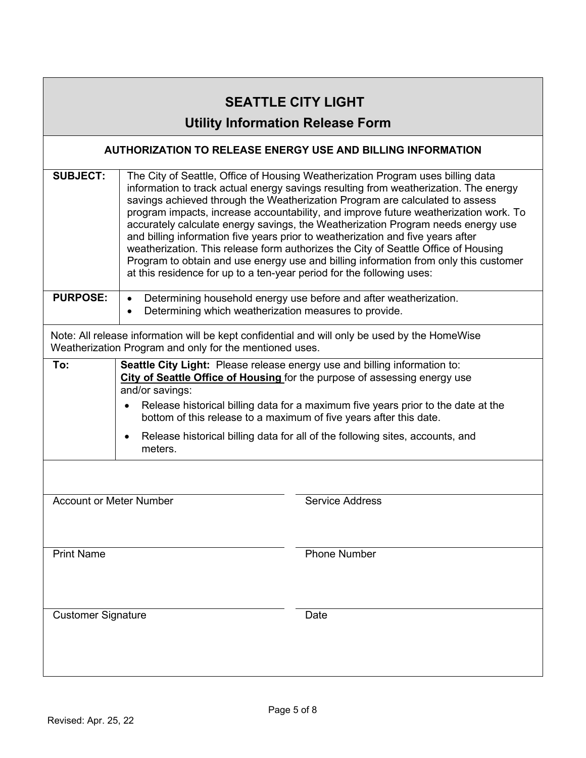| <b>SEATTLE CITY LIGHT</b><br><b>Utility Information Release Form</b>                                                                                     |                                                                                                                                                                                                                                                                                                                                                                                                                                                                                                                                                                                                                                                                                                                                                                               |                        |  |  |  |  |  |  |  |
|----------------------------------------------------------------------------------------------------------------------------------------------------------|-------------------------------------------------------------------------------------------------------------------------------------------------------------------------------------------------------------------------------------------------------------------------------------------------------------------------------------------------------------------------------------------------------------------------------------------------------------------------------------------------------------------------------------------------------------------------------------------------------------------------------------------------------------------------------------------------------------------------------------------------------------------------------|------------------------|--|--|--|--|--|--|--|
| AUTHORIZATION TO RELEASE ENERGY USE AND BILLING INFORMATION                                                                                              |                                                                                                                                                                                                                                                                                                                                                                                                                                                                                                                                                                                                                                                                                                                                                                               |                        |  |  |  |  |  |  |  |
| <b>SUBJECT:</b>                                                                                                                                          | The City of Seattle, Office of Housing Weatherization Program uses billing data<br>information to track actual energy savings resulting from weatherization. The energy<br>savings achieved through the Weatherization Program are calculated to assess<br>program impacts, increase accountability, and improve future weatherization work. To<br>accurately calculate energy savings, the Weatherization Program needs energy use<br>and billing information five years prior to weatherization and five years after<br>weatherization. This release form authorizes the City of Seattle Office of Housing<br>Program to obtain and use energy use and billing information from only this customer<br>at this residence for up to a ten-year period for the following uses: |                        |  |  |  |  |  |  |  |
| <b>PURPOSE:</b>                                                                                                                                          | Determining household energy use before and after weatherization.<br>$\bullet$<br>Determining which weatherization measures to provide.                                                                                                                                                                                                                                                                                                                                                                                                                                                                                                                                                                                                                                       |                        |  |  |  |  |  |  |  |
| Note: All release information will be kept confidential and will only be used by the HomeWise<br>Weatherization Program and only for the mentioned uses. |                                                                                                                                                                                                                                                                                                                                                                                                                                                                                                                                                                                                                                                                                                                                                                               |                        |  |  |  |  |  |  |  |
| To:                                                                                                                                                      | Seattle City Light: Please release energy use and billing information to:<br>City of Seattle Office of Housing for the purpose of assessing energy use<br>and/or savings:<br>Release historical billing data for a maximum five years prior to the date at the<br>$\bullet$<br>bottom of this release to a maximum of five years after this date.<br>Release historical billing data for all of the following sites, accounts, and<br>$\bullet$<br>meters.                                                                                                                                                                                                                                                                                                                    |                        |  |  |  |  |  |  |  |
| <b>Account or Meter Number</b>                                                                                                                           |                                                                                                                                                                                                                                                                                                                                                                                                                                                                                                                                                                                                                                                                                                                                                                               | <b>Service Address</b> |  |  |  |  |  |  |  |
| <b>Print Name</b>                                                                                                                                        |                                                                                                                                                                                                                                                                                                                                                                                                                                                                                                                                                                                                                                                                                                                                                                               | <b>Phone Number</b>    |  |  |  |  |  |  |  |
| <b>Customer Signature</b>                                                                                                                                |                                                                                                                                                                                                                                                                                                                                                                                                                                                                                                                                                                                                                                                                                                                                                                               | Date                   |  |  |  |  |  |  |  |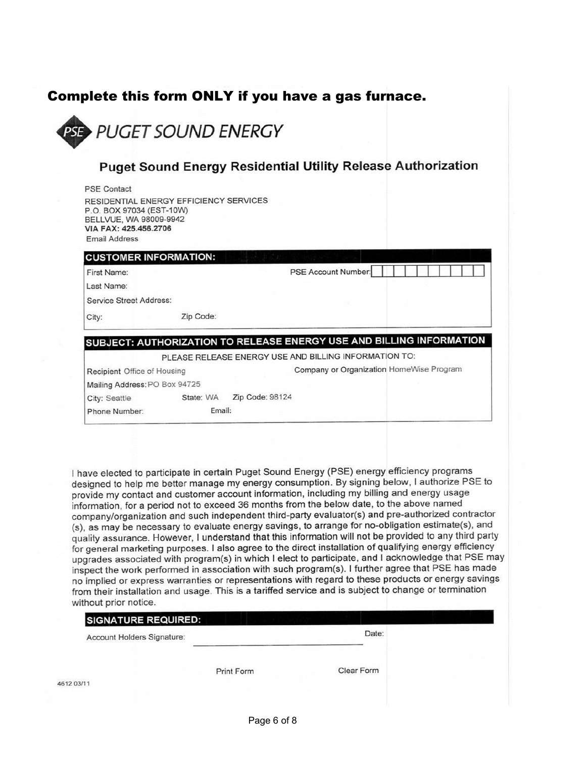# Complete this form ONLY if you have a gas furnace.

**PUGET SOUND ENERGY** 

#### **Puget Sound Energy Residential Utility Release Authorization**

| <b>PSE Contact</b>                                                                                                                            |           |                 |                                                                      |  |  |  |  |  |
|-----------------------------------------------------------------------------------------------------------------------------------------------|-----------|-----------------|----------------------------------------------------------------------|--|--|--|--|--|
| RESIDENTIAL ENERGY EFFICIENCY SERVICES<br>P.O. BOX 97034 (EST-10W)<br>BELLVUE, WA 98009-9942<br>VIA FAX: 425.456.2706<br><b>Email Address</b> |           |                 |                                                                      |  |  |  |  |  |
| <b>CUSTOMER INFORMATION:</b>                                                                                                                  |           |                 |                                                                      |  |  |  |  |  |
| First Name:                                                                                                                                   |           |                 | PSE Account Number:                                                  |  |  |  |  |  |
| Last Name:                                                                                                                                    |           |                 |                                                                      |  |  |  |  |  |
| <b>Service Street Address:</b>                                                                                                                |           |                 |                                                                      |  |  |  |  |  |
| City:                                                                                                                                         | Zip Code: |                 |                                                                      |  |  |  |  |  |
|                                                                                                                                               |           |                 | SUBJECT: AUTHORIZATION TO RELEASE ENERGY USE AND BILLING INFORMATION |  |  |  |  |  |
|                                                                                                                                               |           |                 | PLEASE RELEASE ENERGY USE AND BILLING INFORMATION TO:                |  |  |  |  |  |
| Recipient Office of Housing                                                                                                                   |           |                 | Company or Organization HomeWise Program                             |  |  |  |  |  |
| Mailing Address: PO Box 94725                                                                                                                 |           |                 |                                                                      |  |  |  |  |  |
| City: Seattle                                                                                                                                 | State: WA | Zip Code: 98124 |                                                                      |  |  |  |  |  |
| Phone Number:                                                                                                                                 | Email:    |                 |                                                                      |  |  |  |  |  |
|                                                                                                                                               |           |                 |                                                                      |  |  |  |  |  |

I have elected to participate in certain Puget Sound Energy (PSE) energy efficiency programs designed to help me better manage my energy consumption. By signing below, I authorize PSE to provide my contact and customer account information, including my billing and energy usage information, for a period not to exceed 36 months from the below date, to the above named company/organization and such independent third-party evaluator(s) and pre-authorized contractor (s), as may be necessary to evaluate energy savings, to arrange for no-obligation estimate(s), and quality assurance. However, I understand that this information will not be provided to any third party for general marketing purposes. I also agree to the direct installation of qualifying energy efficiency upgrades associated with program(s) in which I elect to participate, and I acknowledge that PSE may inspect the work performed in association with such program(s). I further agree that PSE has made no implied or express warranties or representations with regard to these products or energy savings from their installation and usage. This is a tariffed service and is subject to change or termination without prior notice.

|            | <b>SIGNATURE REQUIRED:</b> |            |            |  |
|------------|----------------------------|------------|------------|--|
|            | Account Holders Signature: |            | Date:      |  |
|            |                            | Print Form | Clear Form |  |
| 4612 03/11 |                            |            |            |  |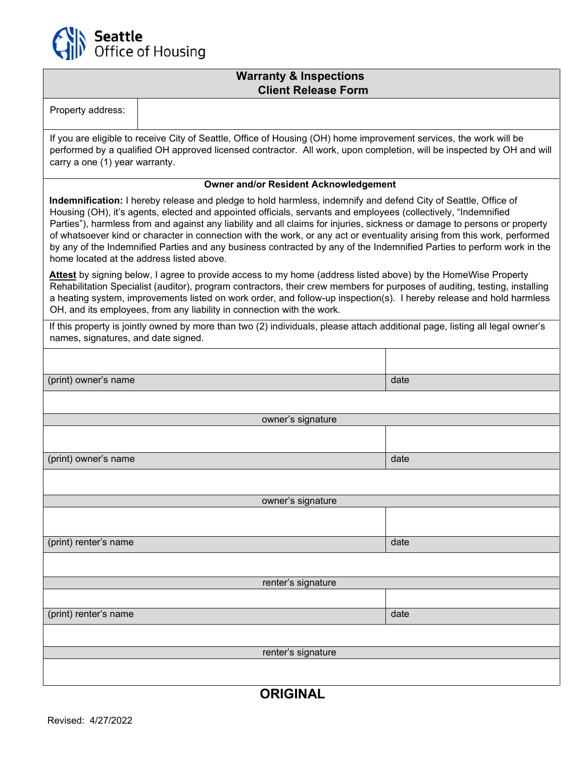

## **Warranty & Inspections Client Release Form**

| Property address:                                                                                                                                                                                                                                                                                                                                                                                                                                                                                                                                                                                                                                                |                                              |      |  |  |  |  |  |
|------------------------------------------------------------------------------------------------------------------------------------------------------------------------------------------------------------------------------------------------------------------------------------------------------------------------------------------------------------------------------------------------------------------------------------------------------------------------------------------------------------------------------------------------------------------------------------------------------------------------------------------------------------------|----------------------------------------------|------|--|--|--|--|--|
| If you are eligible to receive City of Seattle, Office of Housing (OH) home improvement services, the work will be<br>performed by a qualified OH approved licensed contractor. All work, upon completion, will be inspected by OH and will<br>carry a one (1) year warranty.                                                                                                                                                                                                                                                                                                                                                                                    |                                              |      |  |  |  |  |  |
|                                                                                                                                                                                                                                                                                                                                                                                                                                                                                                                                                                                                                                                                  | <b>Owner and/or Resident Acknowledgement</b> |      |  |  |  |  |  |
| Indemnification: I hereby release and pledge to hold harmless, indemnify and defend City of Seattle, Office of<br>Housing (OH), it's agents, elected and appointed officials, servants and employees (collectively, "Indemnified<br>Parties"), harmless from and against any liability and all claims for injuries, sickness or damage to persons or property<br>of whatsoever kind or character in connection with the work, or any act or eventuality arising from this work, performed<br>by any of the Indemnified Parties and any business contracted by any of the Indemnified Parties to perform work in the<br>home located at the address listed above. |                                              |      |  |  |  |  |  |
| Attest by signing below, I agree to provide access to my home (address listed above) by the HomeWise Property<br>Rehabilitation Specialist (auditor), program contractors, their crew members for purposes of auditing, testing, installing<br>a heating system, improvements listed on work order, and follow-up inspection(s). I hereby release and hold harmless<br>OH, and its employees, from any liability in connection with the work.                                                                                                                                                                                                                    |                                              |      |  |  |  |  |  |
| If this property is jointly owned by more than two (2) individuals, please attach additional page, listing all legal owner's<br>names, signatures, and date signed.                                                                                                                                                                                                                                                                                                                                                                                                                                                                                              |                                              |      |  |  |  |  |  |
|                                                                                                                                                                                                                                                                                                                                                                                                                                                                                                                                                                                                                                                                  |                                              |      |  |  |  |  |  |
| (print) owner's name                                                                                                                                                                                                                                                                                                                                                                                                                                                                                                                                                                                                                                             |                                              | date |  |  |  |  |  |
|                                                                                                                                                                                                                                                                                                                                                                                                                                                                                                                                                                                                                                                                  |                                              |      |  |  |  |  |  |
|                                                                                                                                                                                                                                                                                                                                                                                                                                                                                                                                                                                                                                                                  | owner's signature                            |      |  |  |  |  |  |
|                                                                                                                                                                                                                                                                                                                                                                                                                                                                                                                                                                                                                                                                  |                                              |      |  |  |  |  |  |
|                                                                                                                                                                                                                                                                                                                                                                                                                                                                                                                                                                                                                                                                  |                                              |      |  |  |  |  |  |
| (print) owner's name                                                                                                                                                                                                                                                                                                                                                                                                                                                                                                                                                                                                                                             |                                              | date |  |  |  |  |  |
|                                                                                                                                                                                                                                                                                                                                                                                                                                                                                                                                                                                                                                                                  |                                              |      |  |  |  |  |  |
|                                                                                                                                                                                                                                                                                                                                                                                                                                                                                                                                                                                                                                                                  | owner's signature                            |      |  |  |  |  |  |
|                                                                                                                                                                                                                                                                                                                                                                                                                                                                                                                                                                                                                                                                  |                                              |      |  |  |  |  |  |
| (print) renter's name                                                                                                                                                                                                                                                                                                                                                                                                                                                                                                                                                                                                                                            |                                              | date |  |  |  |  |  |
|                                                                                                                                                                                                                                                                                                                                                                                                                                                                                                                                                                                                                                                                  |                                              |      |  |  |  |  |  |
|                                                                                                                                                                                                                                                                                                                                                                                                                                                                                                                                                                                                                                                                  | renter's signature                           |      |  |  |  |  |  |
|                                                                                                                                                                                                                                                                                                                                                                                                                                                                                                                                                                                                                                                                  |                                              |      |  |  |  |  |  |
| (print) renter's name                                                                                                                                                                                                                                                                                                                                                                                                                                                                                                                                                                                                                                            |                                              | date |  |  |  |  |  |
|                                                                                                                                                                                                                                                                                                                                                                                                                                                                                                                                                                                                                                                                  |                                              |      |  |  |  |  |  |
|                                                                                                                                                                                                                                                                                                                                                                                                                                                                                                                                                                                                                                                                  | renter's signature                           |      |  |  |  |  |  |
|                                                                                                                                                                                                                                                                                                                                                                                                                                                                                                                                                                                                                                                                  |                                              |      |  |  |  |  |  |